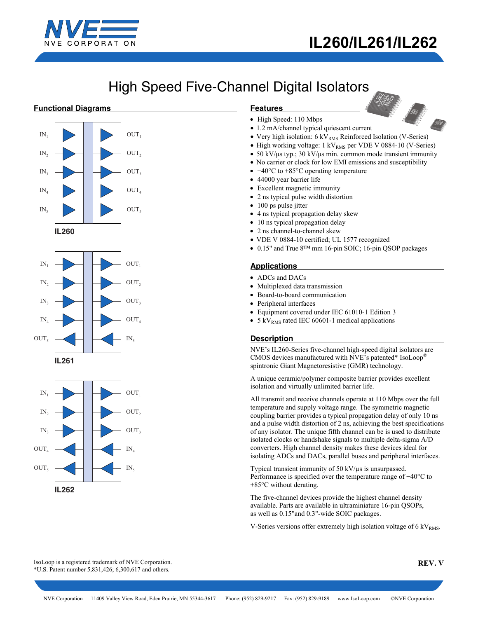

# **IL260/IL261/IL262**

IL260-1 140400

# High Speed Five-Channel Digital Isolators

## **Functional Diagrams**









### **Features**

- High Speed: 110 Mbps
- 1.2 mA/channel typical quiescent current
- Very high isolation:  $6 \text{ kV}_{\text{RMS}}$  Reinforced Isolation (V-Series)
- High working voltage:  $1 \text{ kV}_{\text{RMS}}$  per VDE V 0884-10 (V-Series)
- 50 kV/μs typ.; 30 kV/μs min. common mode transient immunity
- No carrier or clock for low EMI emissions and susceptibility
- −40°C to +85°C operating temperature
- 44000 year barrier life
- Excellent magnetic immunity
- 2 ns typical pulse width distortion
- 100 ps pulse jitter
- 4 ns typical propagation delay skew
- 10 ns typical propagation delay
- 2 ns channel-to-channel skew
- VDE V 0884-10 certified; UL 1577 recognized
- 0.15" and True 8™ mm 16-pin SOIC; 16-pin QSOP packages

# **Applications**

- ADCs and DACs
- Multiplexed data transmission
- Board-to-board communication
- Peripheral interfaces
- Equipment covered under IEC 61010-1 Edition 3
- 5 kV<sub>RMS</sub> rated IEC 60601-1 medical applications

## **Description**

NVE's IL260-Series five-channel high-speed digital isolators are CMOS devices manufactured with NVE's patented\* IsoLoop® spintronic Giant Magnetoresistive (GMR) technology.

A unique ceramic/polymer composite barrier provides excellent isolation and virtually unlimited barrier life.

All transmit and receive channels operate at 110 Mbps over the full temperature and supply voltage range. The symmetric magnetic coupling barrier provides a typical propagation delay of only 10 ns and a pulse width distortion of 2 ns, achieving the best specifications of any isolator. The unique fifth channel can be is used to distribute isolated clocks or handshake signals to multiple delta-sigma A/D converters. High channel density makes these devices ideal for isolating ADCs and DACs, parallel buses and peripheral interfaces.

Typical transient immunity of 50 kV/µs is unsurpassed. Performance is specified over the temperature range of −40°C to +85°C without derating.

The five-channel devices provide the highest channel density available. Parts are available in ultraminiature 16-pin QSOPs, as well as 0.15"and 0.3"-wide SOIC packages.

V-Series versions offer extremely high isolation voltage of  $6 \text{ kV}_{\text{RMS}}$ .

IsoLoop is a registered trademark of NVE Corporation. \*U.S. Patent number 5,831,426; 6,300,617 and others.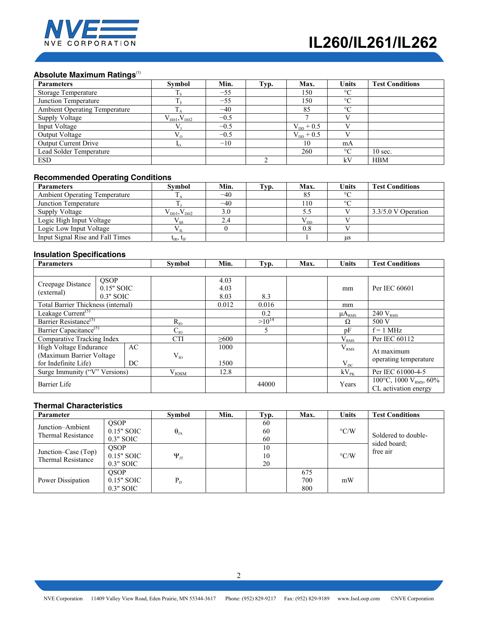

# **Absolute Maximum Ratings**<sup>(1)</sup>

| <b>Parameters</b>                    | <b>Symbol</b>      | Min.   | Typ. | Max.                  | <b>Units</b> | <b>Test Conditions</b> |
|--------------------------------------|--------------------|--------|------|-----------------------|--------------|------------------------|
| Storage Temperature                  | 1 s                | $-55$  |      | 150                   | $\circ$      |                        |
| Junction Temperature                 |                    | $-55$  |      | 150                   | $\circ$      |                        |
| <b>Ambient Operating Temperature</b> |                    | $-40$  |      | 85                    | $\circ$      |                        |
| Supply Voltage                       | $V_{DD1}, V_{DD2}$ | $-0.5$ |      |                       |              |                        |
| Input Voltage                        |                    | $-0.5$ |      | $V_{DD}$ + 0.5        |              |                        |
| Output Voltage                       | $V_{\alpha}$       | $-0.5$ |      | $V_{\text{DD}} + 0.5$ |              |                        |
| <b>Output Current Drive</b>          |                    | $-10$  |      | 10                    | mA           |                        |
| Lead Solder Temperature              |                    |        |      | 260                   | $\circ$      | $10 \text{ sec.}$      |
| <b>ESD</b>                           |                    |        |      |                       | kV           | <b>HBM</b>             |

## **Recommended Operating Conditions**

| <b>Parameters</b>                    | Symbol                                                               | Min.  | Typ. | Max.     | Units     | <b>Test Conditions</b> |
|--------------------------------------|----------------------------------------------------------------------|-------|------|----------|-----------|------------------------|
| <b>Ambient Operating Temperature</b> |                                                                      | $-40$ |      |          | $\circ$   |                        |
| Junction Temperature                 |                                                                      | $-40$ |      | 110      | $\sim$    |                        |
| <b>Supply Voltage</b>                | $\rm V_{\rm\scriptscriptstyle{DD1},} V_{\rm\scriptscriptstyle{DD2}}$ | 3.0   |      |          |           | 3.3/5.0 V Operation    |
| Logic High Input Voltage             | ∨ тн                                                                 |       |      | $V_{DD}$ |           |                        |
| Logic Low Input Voltage              | Уπ                                                                   |       |      | 0.8      |           |                        |
| Input Signal Rise and Fall Times     | $t_{IR}$ , $t_{IF}$                                                  |       |      |          | <b>us</b> |                        |

# **Insulation Specifications**

| <b>Parameters</b>                           |             |            | <b>Symbol</b>     | Min.       | Typ.       | Max.      | <b>Units</b>                       | <b>Test Conditions</b> |
|---------------------------------------------|-------------|------------|-------------------|------------|------------|-----------|------------------------------------|------------------------|
|                                             |             |            |                   |            |            |           |                                    |                        |
| Creepage Distance                           | QSOP        |            |                   | 4.03       |            |           |                                    |                        |
| (external)                                  | 0.15" SOIC  |            |                   | 4.03       |            |           | mm                                 | Per IEC 60601          |
|                                             | $0.3"$ SOIC |            |                   | 8.03       | 8.3        |           |                                    |                        |
| Total Barrier Thickness (internal)          |             |            |                   | 0.012      | 0.016      |           | mm                                 |                        |
| Leakage Current <sup><math>(5)</math></sup> |             |            |                   |            | 0.2        |           | $\mu A_{RMS}$                      | $240$ $V_{\rm RMS}$    |
| Barrier Resistance <sup>(5)</sup>           |             |            | $R_{IO}$          |            | $>10^{14}$ |           | Ω                                  | 500 V                  |
| Barrier Capacitance <sup>(5)</sup>          |             |            | $\mathrm{C_{1O}}$ |            | 5          |           | pF                                 | $f = 1$ MHz            |
| Comparative Tracking Index                  |             |            | <b>CTI</b>        | $\geq 600$ |            |           | V <sub>RMS</sub>                   | Per IEC 60112          |
| High Voltage Endurance                      |             | AC         |                   | 1000       |            |           | V <sub>RMS</sub>                   | At maximum             |
| (Maximum Barrier Voltage                    |             |            | $V_{IO}$          |            |            |           |                                    | operating temperature  |
| for Indefinite Life)<br>DC.                 |             |            | 1500              |            |            | $V_{DC}$  |                                    |                        |
| Surge Immunity ("V" Versions)               |             | $V_{IOSM}$ | 12.8              |            |            | $kV_{PK}$ | Per IEC 61000-4-5                  |                        |
| Barrier Life                                |             |            |                   | 44000      |            | Years     | 100°C, 1000 V <sub>RMS</sub> , 60% |                        |
|                                             |             |            |                   |            |            |           |                                    | CL activation energy   |

## **Thermal Characteristics**

| Parameter                                        |                                            | Symbol             | Min. | Typ.           | Max.              | <b>Units</b>       | <b>Test Conditions</b>              |
|--------------------------------------------------|--------------------------------------------|--------------------|------|----------------|-------------------|--------------------|-------------------------------------|
| Junction-Ambient<br><b>Thermal Resistance</b>    | <b>OSOP</b><br>$0.15"$ SOIC<br>$0.3"$ SOIC | $\theta_{JA}$      |      | 60<br>60<br>60 |                   | $\rm ^{\circ} C/W$ | Soldered to double-<br>sided board: |
| Junction–Case (Top)<br><b>Thermal Resistance</b> | QSOP<br>$0.15"$ SOIC<br>$0.3"$ SOIC        | $\Psi_{\text{JT}}$ |      | 10<br>10<br>20 |                   | $\rm ^{\circ}$ C/W | free air                            |
| Power Dissipation                                | QSOP<br>0.15" SOIC<br>$0.3"$ SOIC          | $P_{D}$            |      |                | 675<br>700<br>800 | mW                 |                                     |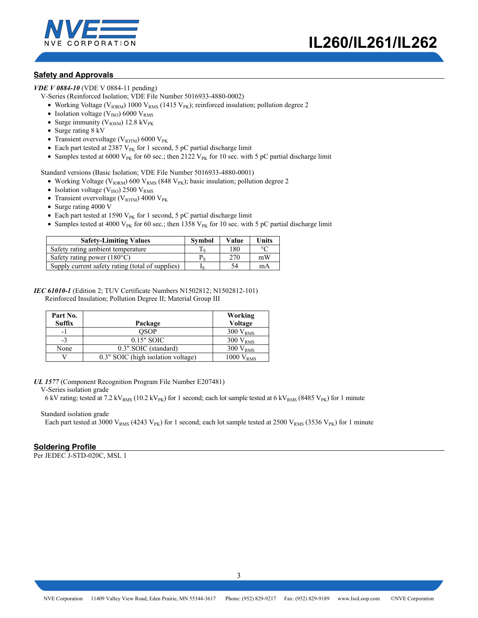

## **Safety and Approvals**

*VDE V 0884-10* (VDE V 0884-11 pending)

- V-Series (Reinforced Isolation; VDE File Number 5016933-4880-0002)
	- Working Voltage ( $V_{IORM}$ ) 1000  $V_{RMS}$  (1415  $V_{PK}$ ); reinforced insulation; pollution degree 2
	- Isolation voltage ( $V_{ISO}$ ) 6000  $V_{RMS}$
	- Surge immunity ( $V_{\text{IOSM}}$ ) 12.8 kV<sub>PK</sub>
	- Surge rating 8 kV
	- Transient overvoltage ( $V_{IOTM}$ ) 6000  $V_{PK}$
	- Each part tested at 2387  $V_{PK}$  for 1 second, 5 pC partial discharge limit
	- Samples tested at 6000 V<sub>PK</sub> for 60 sec.; then 2122 V<sub>PK</sub> for 10 sec. with 5 pC partial discharge limit

Standard versions (Basic Isolation; VDE File Number 5016933-4880-0001)

- Working Voltage ( $V_{IORM}$ ) 600  $V_{RMS}$  (848  $V_{PK}$ ); basic insulation; pollution degree 2
- Isolation voltage ( $V_{ISO}$ ) 2500  $V_{RMS}$
- Transient overvoltage ( $V_{\text{IOTM}}$ ) 4000  $V_{\text{PK}}$
- Surge rating 4000 V
- Each part tested at 1590  $V_{PK}$  for 1 second, 5 pC partial discharge limit
- Samples tested at 4000 V<sub>PK</sub> for 60 sec.; then 1358 V<sub>PK</sub> for 10 sec. with 5 pC partial discharge limit

| <b>Safety-Limiting Values</b>                    | <b>Symbol</b> | Value | <b>Units</b> |
|--------------------------------------------------|---------------|-------|--------------|
| Safety rating ambient temperature                |               | 180   | $\circ$      |
| Safety rating power $(180^{\circ}C)$             |               | 270   | mW           |
| Supply current safety rating (total of supplies) |               | 54    | mA           |

#### *IEC 61010-1* (Edition 2; TUV Certificate Numbers N1502812; N1502812-101) Reinforced Insulation; Pollution Degree II; Material Group III

| Part No. |                                    | Working               |
|----------|------------------------------------|-----------------------|
| Suffix   | Package                            | Voltage               |
| -1       | OSOP                               | $300 V_{RMS}$         |
| $-3$     | $0.15"$ SOIC                       | $300 V_{RMS}$         |
| None     | 0.3" SOIC (standard)               | $300 V_{RMS}$         |
|          | 0.3" SOIC (high isolation voltage) | 1000 V <sub>RMS</sub> |

*UL 1577* (Component Recognition Program File Number E207481)

V-Series isolation grade

6 kV rating; tested at 7.2 kV<sub>RMS</sub> (10.2 kV<sub>PK</sub>) for 1 second; each lot sample tested at 6 kV<sub>RMS</sub> (8485 V<sub>PK</sub>) for 1 minute

#### Standard isolation grade

Each part tested at 3000 V<sub>RMS</sub> (4243 V<sub>PK</sub>) for 1 second; each lot sample tested at 2500 V<sub>RMS</sub> (3536 V<sub>PK</sub>) for 1 minute

## **Soldering Profile**

Per JEDEC J-STD-020C, MSL 1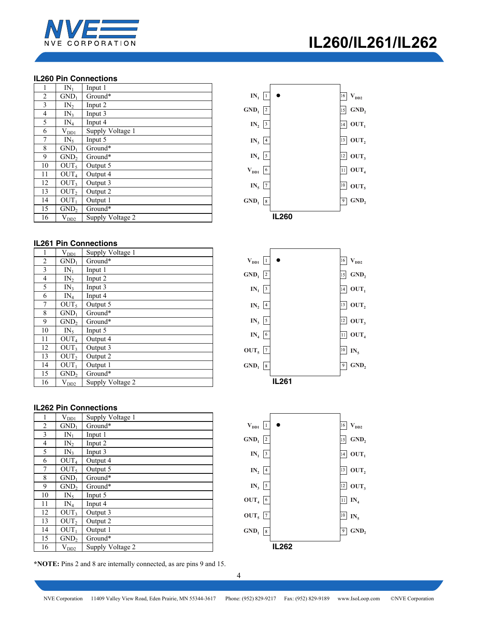

## **IL260 Pin Connections**

|                | $IN_1$           | Input 1          |
|----------------|------------------|------------------|
| $\overline{c}$ | GND <sub>1</sub> | Ground*          |
| 3              | IN <sub>2</sub>  | Input 2          |
| $\overline{4}$ | IN <sub>3</sub>  | Input 3          |
| 5              | $IN_4$           | Input 4          |
| 6              | $\rm V_{DD1}$    | Supply Voltage 1 |
| 7              | $IN_{5}$         | Input 5          |
| 8              | GND <sub>1</sub> | Ground*          |
| 9              | GND <sub>2</sub> | Ground*          |
| 10             | OUT <sub>5</sub> | Output 5         |
| 11             | OUT <sub>4</sub> | Output 4         |
| 12             | OUT <sub>3</sub> | Output 3         |
| 13             | OUT,             | Output 2         |
| 14             | OUT <sub>1</sub> | Output 1         |
| 15             | GND <sub>2</sub> | Ground*          |
| 16             | $V_{DD2}$        | Supply Voltage 2 |

## **IL261 Pin Connections**

| 1  | $V_{DD1}$        | Supply Voltage 1 |
|----|------------------|------------------|
| 2  | $GND_1$          | Ground*          |
| 3  | $IN_1$           | Input 1          |
| 4  | IN <sub>2</sub>  | Input 2          |
| 5  | IN <sub>3</sub>  | Input 3          |
| 6  | $IN_4$           | Input 4          |
| 7  | OUT <sub>5</sub> | Output 5         |
| 8  | GND <sub>1</sub> | Ground*          |
| 9  | GND <sub>2</sub> | Ground*          |
| 10 | $IN_5$           | Input 5          |
| 11 | OUT <sub>4</sub> | Output 4         |
| 12 | OUT <sub>3</sub> | Output 3         |
| 13 | OUT <sub>2</sub> | Output 2         |
| 14 | OUT <sub>1</sub> | Output 1         |
| 15 | GND <sub>2</sub> | Ground*          |
| 16 | $V_{DD2}$        | Supply Voltage 2 |

## **IL262 Pin Connections**

| 1              | $V_{D\underline{D1}}$ | Supply Voltage 1 |
|----------------|-----------------------|------------------|
| 2              | $GND_1$               | Ground*          |
| 3              | $IN_1$                | Input 1          |
| $\overline{4}$ | IN <sub>2</sub>       | Input 2          |
| 5              | IN <sub>3</sub>       | Input 3          |
| 6              | OUT <sub>4</sub>      | Output 4         |
| 7              | OUT <sub>5</sub>      | Output 5         |
| 8              | GND <sub>1</sub>      | Ground*          |
| 9              | GND <sub>2</sub>      | Ground*          |
| 10             | $IN_5$                | Input 5          |
| 11             | $IN_4$                | Input 4          |
| 12             | OUT <sub>3</sub>      | Output 3         |
| 13             | OUT,                  | Output 2         |
| 14             | OUT <sub>1</sub>      | Output 1         |
| 15             | GND <sub>2</sub>      | Ground*          |
| 16             | $V_{DD2}$             | Supply Voltage 2 |

**\*NOTE:** Pins 2 and 8 are internally connected, as are pins 9 and 15.







# **IL260/IL261/IL262**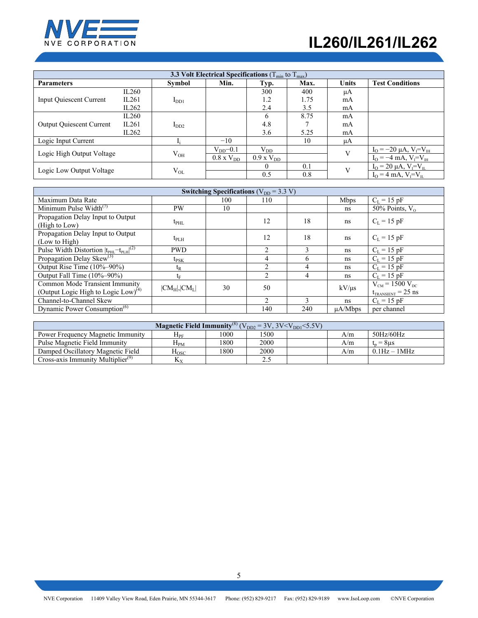

# **IL260/IL261/IL262**

| 3.3 Volt Electrical Specifications ( $T_{min}$ to $T_{max}$ ) |       |                  |                     |                        |      |              |                                     |  |
|---------------------------------------------------------------|-------|------------------|---------------------|------------------------|------|--------------|-------------------------------------|--|
| <b>Parameters</b>                                             |       | Symbol           | Min.                | Typ.                   | Max. | <b>Units</b> | <b>Test Conditions</b>              |  |
|                                                               | IL260 |                  |                     | 300                    | 400  | μA           |                                     |  |
| <b>Input Quiescent Current</b>                                | IL261 | I <sub>DD1</sub> |                     | 1.2                    | 1.75 | mA           |                                     |  |
|                                                               | IL262 |                  |                     | 2.4                    | 3.5  | mA           |                                     |  |
|                                                               | IL260 |                  |                     | 6                      | 8.75 | mA           |                                     |  |
| <b>Output Quiescent Current</b>                               | IL261 | $I_{DD2}$        |                     | 4.8                    |      | mA           |                                     |  |
|                                                               | IL262 |                  |                     | 3.6                    | 5.25 | mA           |                                     |  |
| Logic Input Current                                           |       |                  | $-10$               |                        | 10   | μA           |                                     |  |
|                                                               |       |                  | $V_{DD}$ –0.1       | $\rm V_{DD}$           |      | V            | $I_{O} = -20 \mu A, V_{I} = V_{IH}$ |  |
| Logic High Output Voltage                                     |       | $V_{OH}$         | $0.8 \times V_{DD}$ | $0.9 \text{ x V}_{DD}$ |      |              | $I_{O} = -4$ mA, $V_{I} = V_{IH}$   |  |
| Logic Low Output Voltage                                      |       |                  |                     | $\Omega$               | 0.1  | V            | $I_{O} = 20 \mu A, V_{I} = V_{IL}$  |  |
|                                                               |       | $\rm V_{OL}$     |                     | 0.5                    | 0.8  |              | $I_{O} = 4$ mA, $V_{I} = V_{II}$    |  |

| Switching Specifications ( $V_{DD}$ = 3.3 V)                                      |                  |     |                |              |               |                                                            |  |  |
|-----------------------------------------------------------------------------------|------------------|-----|----------------|--------------|---------------|------------------------------------------------------------|--|--|
| Maximum Data Rate                                                                 |                  | 100 | 110            |              | <b>Mbps</b>   | $C_{L} = 15$ pF                                            |  |  |
| Minimum Pulse Width $(7)$                                                         | <b>PW</b>        | 10  |                |              | ns            | 50% Points, $V_0$                                          |  |  |
| Propagation Delay Input to Output<br>(High to Low)                                | $t_{\rm PHL}$    |     | 12             | 18           | ns            | $C_{L} = 15$ pF                                            |  |  |
| Propagation Delay Input to Output<br>(Low to High)                                | $t_{\rm PLH}$    |     | 12             | 18           | ns            | $C_{L} = 15$ pF                                            |  |  |
| Pulse Width Distortion $ t_{\text{PHL}}-t_{\text{PLH}} ^{(2)}$                    | <b>PWD</b>       |     | $\mathfrak{D}$ | $\mathbf{3}$ | ns            | $C_{L} = 15$ pF                                            |  |  |
| Propagation Delay Skew $^{(3)}$                                                   | $t_{\rm PSK}$    |     | 4              | 6            | <sub>ns</sub> | $C_I = 15$ pF                                              |  |  |
| Output Rise Time (10%-90%)                                                        | $t_{R}$          |     | $\mathfrak{D}$ | 4            | ns            | $C_I = 15$ pF                                              |  |  |
| Output Fall Time (10%-90%)                                                        | $t_{\rm F}$      |     | $\overline{2}$ | 4            | ns            | $C_L = 15$ pF                                              |  |  |
| Common Mode Transient Immunity<br>(Output Logic High to Logic Low) <sup>(4)</sup> | $ CM_H ,  CM_L $ | 30  | 50             |              | $kV/\mu s$    | $V_{CM}$ = 1500 $V_{DC}$<br>$t_{\text{TRANSIENT}} = 25$ ns |  |  |
| Channel-to-Channel Skew                                                           |                  |     | $\mathfrak{D}$ | $\mathbf{3}$ | ns            | $C_I = 15$ pF                                              |  |  |
| Dynamic Power Consumption <sup>(6)</sup>                                          |                  |     | 140            | 240          | $\mu$ A/Mbps  | per channel                                                |  |  |

| <b>Magnetic Field Immunity</b> <sup>(8)</sup> ( $V_{DD2}$ = 3V, 3V <v<sub>DD1 &lt;5.5V)</v<sub> |                    |      |      |  |     |                                   |  |  |  |
|-------------------------------------------------------------------------------------------------|--------------------|------|------|--|-----|-----------------------------------|--|--|--|
| Power Frequency Magnetic Immunity                                                               | $\rm H_{PF}$       | 1000 | 1500 |  | A/m | $50\frac{\text{Hz}}{60\text{Hz}}$ |  |  |  |
| Pulse Magnetic Field Immunity                                                                   | $\rm H_{PM}$       | 1800 | 2000 |  | A/m | $= 8$ us                          |  |  |  |
| Damped Oscillatory Magnetic Field                                                               | $_{\mathrm{Hosc}}$ | 1800 | 2000 |  | A/m | $0.1Hz - 1MHz$                    |  |  |  |
| Cross-axis Immunity Multiplier $(9)$                                                            | $K_X$              |      | 2.5  |  |     |                                   |  |  |  |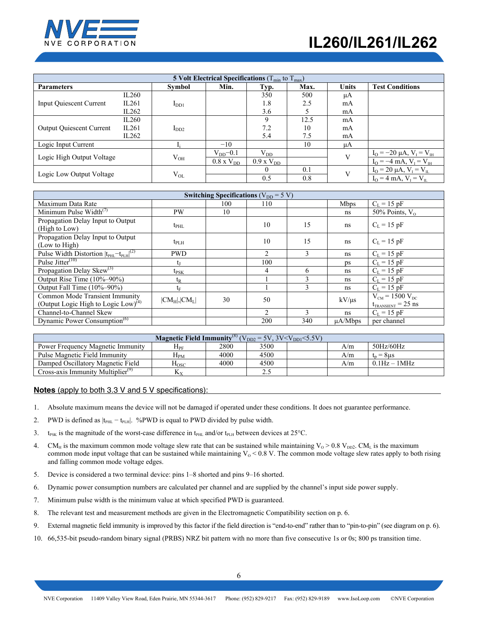# **IL260/IL261/IL262**



| 5 Volt Electrical Specifications ( $T_{min}$ to $T_{max}$ ) |       |           |                     |                        |      |              |                                        |
|-------------------------------------------------------------|-------|-----------|---------------------|------------------------|------|--------------|----------------------------------------|
| <b>Parameters</b>                                           |       | Symbol    | Min.                | Typ.                   | Max. | <b>Units</b> | <b>Test Conditions</b>                 |
| <b>Input Quiescent Current</b>                              | IL260 |           |                     | 350                    | 500  | μA           |                                        |
|                                                             | IL261 | $I_{DD1}$ |                     | 1.8                    | 2.5  | mA           |                                        |
|                                                             | IL262 |           |                     | 3.6                    |      | mA           |                                        |
| <b>Output Quiescent Current</b>                             | IL260 |           |                     | $\mathbf Q$            | 12.5 | mA           |                                        |
|                                                             | IL261 | $I_{DD2}$ |                     | 7.2                    | 10   | mA           |                                        |
|                                                             | IL262 |           |                     | 5.4                    | 7.5  | mA           |                                        |
| Logic Input Current                                         |       |           | $-10$               |                        | 10   | μA           |                                        |
| Logic High Output Voltage                                   |       | $V_{OH}$  | $V_{DD}$ –0.1       | $V_{DD}$               |      | $\mathbf{V}$ | $I_{O} = -20 \mu A$ , $V_{I} = V_{IH}$ |
|                                                             |       |           | $0.8 \times V_{DD}$ | $0.9 \text{ x V}_{DD}$ |      |              | $I_{\Omega} = -4$ mA, $V_{I} = V_{IH}$ |
|                                                             |       | $V_{OL}$  |                     | $\theta$               | 0.1  | $\mathbf{V}$ | $I_{O} = 20 \mu A, V_{I} = V_{IL}$     |
| Logic Low Output Voltage                                    |       |           |                     | 0.5                    | 0.8  |              | $I_{O} = 4$ mA, $V_{I} = V_{II}$       |

| Switching Specifications ( $V_{DD} = 5 V$ )                    |                  |     |               |               |              |                                        |
|----------------------------------------------------------------|------------------|-----|---------------|---------------|--------------|----------------------------------------|
| Maximum Data Rate                                              |                  | 100 | 110           |               | <b>Mbps</b>  | $C_L = 15$ pF                          |
| Minimum Pulse Width $(7)$                                      | PW               | 10  |               |               | ns           | 50% Points, $V_0$                      |
| Propagation Delay Input to Output                              |                  |     | 10            | 15            | ns           | $C_L = 15$ pF                          |
| (High to Low)                                                  | $t_{\rm PHL}$    |     |               |               |              |                                        |
| Propagation Delay Input to Output                              |                  |     | 10            | 15            | ns           | $C_L = 15$ pF                          |
| (Low to High)                                                  | $t_{\rm PLH}$    |     |               |               |              |                                        |
| Pulse Width Distortion $ t_{\text{PHL}}-t_{\text{PLH}} ^{(2)}$ | <b>PWD</b>       |     | $\mathcal{L}$ | 3             | ns.          | $C_L = 15$ pF                          |
| Pulse Jitter <sup>(10)</sup>                                   | Ų                |     | 100           |               | ps           | $C_L = 15$ pF                          |
| Propagation Delay Skew <sup>(3)</sup>                          | $t_{\rm PSK}$    |     | 4             | 6             | ns           | $C_L = 15$ pF                          |
| Output Rise Time $(10\%-90\%)$                                 | $t_{R}$          |     |               | $\mathbf{3}$  | ns           | $C_I = 15 pF$                          |
| Output Fall Time (10%-90%)                                     | tF               |     |               | 3             | ns           | $C_L = 15$ pF                          |
| Common Mode Transient Immunity                                 | $ CM_H ,  CM_L $ | 30  | 50            |               | $kV/\mu s$   | $V_{CM}$ = 1500 $V_{DC}$               |
| (Output Logic High to Logic Low) <sup>(4)</sup>                |                  |     |               |               |              | $t_{\text{TRANSIENT}} = 25 \text{ ns}$ |
| Channel-to-Channel Skew                                        |                  |     | $\mathcal{L}$ | $\mathcal{L}$ | ns           | $C_L = 15$ pF                          |
| Dynamic Power Consumption <sup>(6)</sup>                       |                  |     | 200           | 340           | $\mu$ A/Mbps | per channel                            |

| <b>Magnetic Field Immunity</b> <sup>(8)</sup> $(V_{DD2} = 5V, 3V < V_{DD1} < 5.5V)$ |                    |      |      |  |     |                 |
|-------------------------------------------------------------------------------------|--------------------|------|------|--|-----|-----------------|
| Power Frequency Magnetic Immunity                                                   | ${\rm H}_{\rm PF}$ | 2800 | 3500 |  | A/m | 50Hz/60Hz       |
| Pulse Magnetic Field Immunity                                                       | $H_{PM}$           | 4000 | 4500 |  | A/m | $t_n = 8 \mu s$ |
| Damped Oscillatory Magnetic Field                                                   | $H_{\rm{OSC}}$     | 4000 | 4500 |  | A/m | $0.1Hz - 1MHz$  |
| Cross-axis Immunity Multiplier <sup>(9)</sup>                                       | Δy                 |      | 2.5  |  |     |                 |

### **Notes** (apply to both 3.3 V and 5 V specifications):

- 1. Absolute maximum means the device will not be damaged if operated under these conditions. It does not guarantee performance.
- 2. PWD is defined as  $|t_{\text{PHL}} t_{\text{PLH}}|$ . %PWD is equal to PWD divided by pulse width.
- 3. t<sub>PSK</sub> is the magnitude of the worst-case difference in t<sub>PHL</sub> and/or t<sub>PLH</sub> between devices at 25°C.
- 4. CM<sub>H</sub> is the maximum common mode voltage slew rate that can be sustained while maintaining  $V_0 > 0.8$  V<sub>DD2</sub>. CM<sub>L</sub> is the maximum common mode input voltage that can be sustained while maintaining  $V_0 < 0.8$  V. The common mode voltage slew rates apply to both rising and falling common mode voltage edges.
- 5. Device is considered a two terminal device: pins 1–8 shorted and pins 9–16 shorted.
- 6. Dynamic power consumption numbers are calculated per channel and are supplied by the channel's input side power supply.
- 7. Minimum pulse width is the minimum value at which specified PWD is guaranteed.
- 8. The relevant test and measurement methods are given in the Electromagnetic Compatibility section on p. 6.
- 9. External magnetic field immunity is improved by this factor if the field direction is "end-to-end" rather than to "pin-to-pin" (see diagram on p. 6).
- 10. 66,535-bit pseudo-random binary signal (PRBS) NRZ bit pattern with no more than five consecutive 1s or 0s; 800 ps transition time.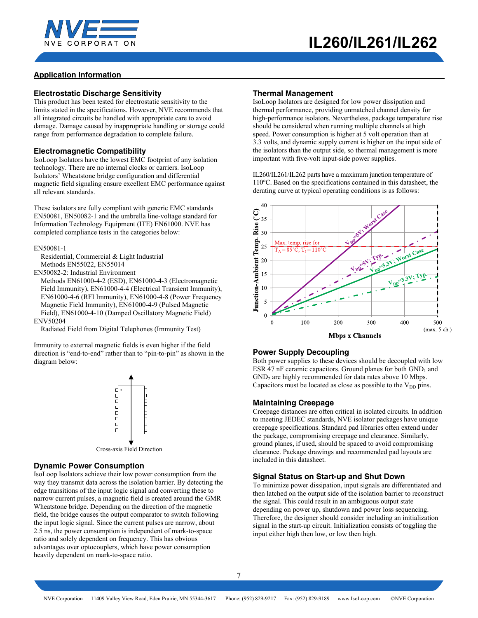

# **Application Information**

### **Electrostatic Discharge Sensitivity**

This product has been tested for electrostatic sensitivity to the limits stated in the specifications. However, NVE recommends that all integrated circuits be handled with appropriate care to avoid damage. Damage caused by inappropriate handling or storage could range from performance degradation to complete failure.

#### **Electromagnetic Compatibility**

IsoLoop Isolators have the lowest EMC footprint of any isolation technology. There are no internal clocks or carriers. IsoLoop Isolators' Wheatstone bridge configuration and differential magnetic field signaling ensure excellent EMC performance against all relevant standards.

These isolators are fully compliant with generic EMC standards EN50081, EN50082-1 and the umbrella line-voltage standard for Information Technology Equipment (ITE) EN61000. NVE has completed compliance tests in the categories below:

EN50081-1

Residential, Commercial & Light Industrial Methods EN55022, EN55014

EN50082-2: Industrial Environment

Methods EN61000-4-2 (ESD), EN61000-4-3 (Electromagnetic Field Immunity), EN61000-4-4 (Electrical Transient Immunity), EN61000-4-6 (RFI Immunity), EN61000-4-8 (Power Frequency Magnetic Field Immunity), EN61000-4-9 (Pulsed Magnetic Field), EN61000-4-10 (Damped Oscillatory Magnetic Field)

ENV50204

Radiated Field from Digital Telephones (Immunity Test)

Immunity to external magnetic fields is even higher if the field direction is "end-to-end" rather than to "pin-to-pin" as shown in the diagram below:



### **Dynamic Power Consumption**

IsoLoop Isolators achieve their low power consumption from the way they transmit data across the isolation barrier. By detecting the edge transitions of the input logic signal and converting these to narrow current pulses, a magnetic field is created around the GMR Wheatstone bridge. Depending on the direction of the magnetic field, the bridge causes the output comparator to switch following the input logic signal. Since the current pulses are narrow, about 2.5 ns, the power consumption is independent of mark-to-space ratio and solely dependent on frequency. This has obvious advantages over optocouplers, which have power consumption heavily dependent on mark-to-space ratio.

#### **Thermal Management**

IsoLoop Isolators are designed for low power dissipation and thermal performance, providing unmatched channel density for high-performance isolators. Nevertheless, package temperature rise should be considered when running multiple channels at high speed. Power consumption is higher at 5 volt operation than at 3.3 volts, and dynamic supply current is higher on the input side of the isolators than the output side, so thermal management is more important with five-volt input-side power supplies.

IL260/IL261/IL262 parts have a maximum junction temperature of 110°C. Based on the specifications contained in this datasheet, the derating curve at typical operating conditions is as follows:



### **Power Supply Decoupling**

Both power supplies to these devices should be decoupled with low ESR 47 nF ceramic capacitors. Ground planes for both  $GND_1$  and  $GND<sub>2</sub>$  are highly recommended for data rates above 10 Mbps. Capacitors must be located as close as possible to the  $V_{DD}$  pins.

### **Maintaining Creepage**

Creepage distances are often critical in isolated circuits. In addition to meeting JEDEC standards, NVE isolator packages have unique creepage specifications. Standard pad libraries often extend under the package, compromising creepage and clearance. Similarly, ground planes, if used, should be spaced to avoid compromising clearance. Package drawings and recommended pad layouts are included in this datasheet.

#### **Signal Status on Start-up and Shut Down**

To minimize power dissipation, input signals are differentiated and then latched on the output side of the isolation barrier to reconstruct the signal. This could result in an ambiguous output state depending on power up, shutdown and power loss sequencing. Therefore, the designer should consider including an initialization signal in the start-up circuit. Initialization consists of toggling the input either high then low, or low then high.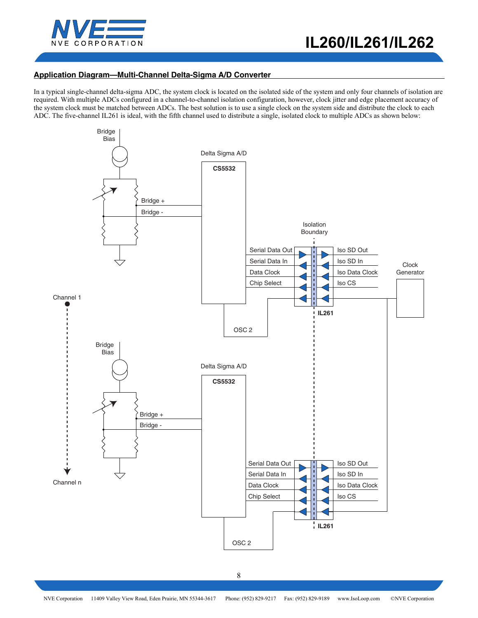

## **Application Diagram—Multi-Channel Delta-Sigma A/D Converter**

In a typical single-channel delta-sigma ADC, the system clock is located on the isolated side of the system and only four channels of isolation are required. With multiple ADCs configured in a channel-to-channel isolation configuration, however, clock jitter and edge placement accuracy of the system clock must be matched between ADCs. The best solution is to use a single clock on the system side and distribute the clock to each ADC. The five-channel IL261 is ideal, with the fifth channel used to distribute a single, isolated clock to multiple ADCs as shown below:

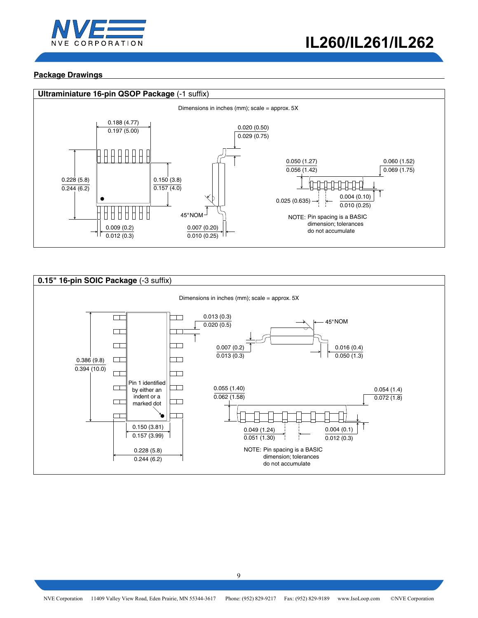

# **Package Drawings**



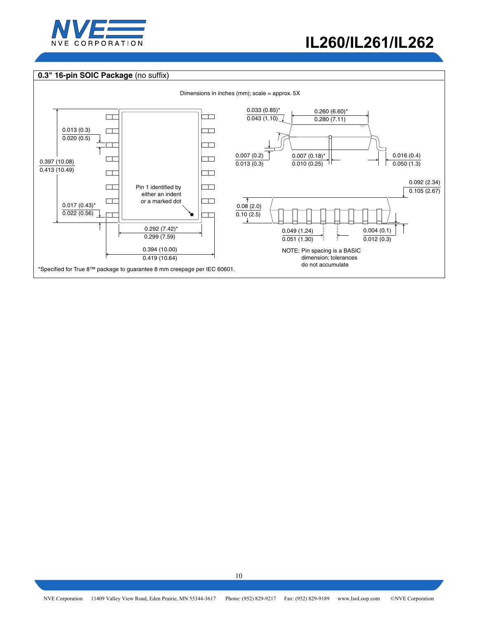

## **0.3" 16-pin SOIC Package** (no suffix)

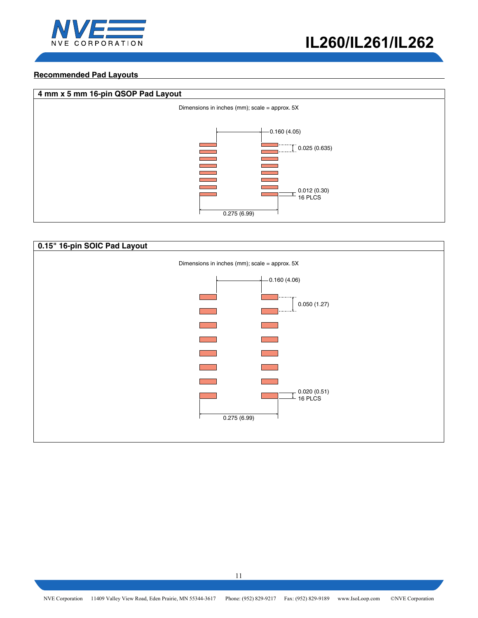

## **Recommended Pad Layouts**



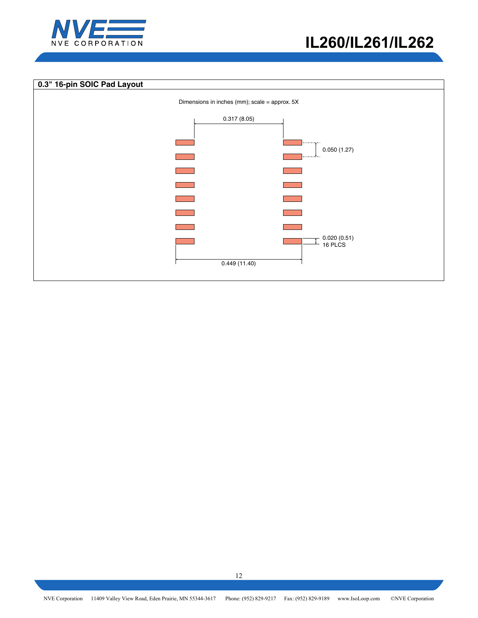

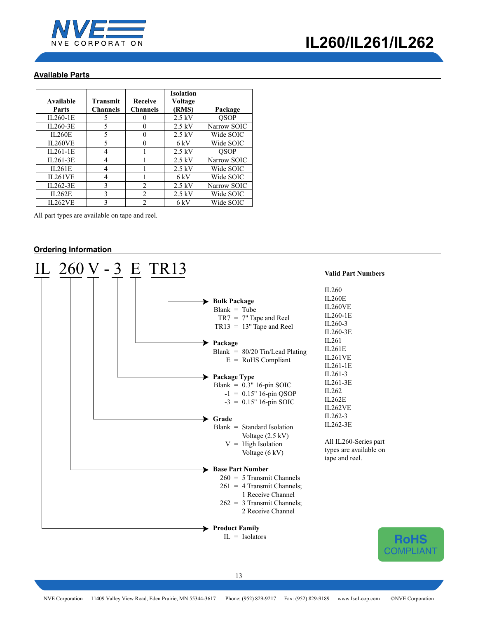

## **Available Parts**

| Available      | Transmit        | <b>Receive</b>  | <b>Isolation</b><br>Voltage |             |
|----------------|-----------------|-----------------|-----------------------------|-------------|
| <b>Parts</b>   | <b>Channels</b> | <b>Channels</b> | (RMS)                       | Package     |
| $II.260-1E$    | 5               |                 | $2.5$ kV                    | <b>OSOP</b> |
| IL260-3E       | 5               | 0               | $2.5$ kV                    | Narrow SOIC |
| <b>IL260E</b>  | 5               | 0               | $2.5$ kV                    | Wide SOIC   |
| <b>IL260VE</b> | 5               | 0               | 6 kV                        | Wide SOIC   |
| $IL261-1E$     | 4               |                 | $2.5$ kV                    | <b>OSOP</b> |
| IL261-3E       | 4               |                 | $2.5 \text{ kV}$            | Narrow SOIC |
| II.261E        | 4               |                 | $2.5$ kV                    | Wide SOIC   |
| <b>IL261VE</b> | 4               |                 | 6 kV                        | Wide SOIC   |
| IL262-3E       | 3               | $\mathfrak{D}$  | $2.5$ kV                    | Narrow SOIC |
| IL262E         | 3               | $\overline{2}$  | $2.5$ kV                    | Wide SOIC   |
| <b>IL262VE</b> | 3               | $\mathfrak{D}$  | 6 kV                        | Wide SOIC   |

All part types are available on tape and reel.

## **Ordering Information**

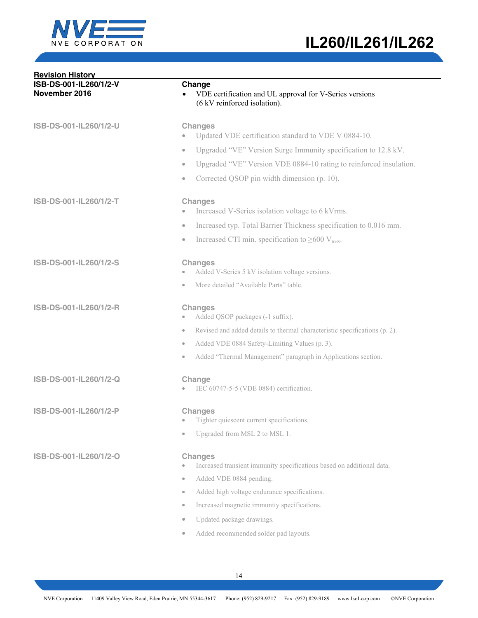

| <b>Revision History</b>                 |                                                                                                                                                                                                                                                                                  |
|-----------------------------------------|----------------------------------------------------------------------------------------------------------------------------------------------------------------------------------------------------------------------------------------------------------------------------------|
| ISB-DS-001-IL260/1/2-V<br>November 2016 | Change<br>VDE certification and UL approval for V-Series versions<br>(6 kV reinforced isolation).                                                                                                                                                                                |
| ISB-DS-001-IL260/1/2-U                  | <b>Changes</b><br>Updated VDE certification standard to VDE V 0884-10.                                                                                                                                                                                                           |
|                                         | Upgraded "VE" Version Surge Immunity specification to 12.8 kV.<br>$\bullet$                                                                                                                                                                                                      |
|                                         | Upgraded "VE" Version VDE 0884-10 rating to reinforced insulation.<br>$\bullet$                                                                                                                                                                                                  |
|                                         | Corrected QSOP pin width dimension (p. 10).<br>$\bullet$                                                                                                                                                                                                                         |
| ISB-DS-001-IL260/1/2-T                  | <b>Changes</b><br>Increased V-Series isolation voltage to 6 kVrms.                                                                                                                                                                                                               |
|                                         | Increased typ. Total Barrier Thickness specification to 0.016 mm.<br>$\bullet$                                                                                                                                                                                                   |
|                                         | Increased CTI min. specification to $\geq 600$ V <sub>RMS</sub> .<br>$\bullet$                                                                                                                                                                                                   |
| ISB-DS-001-IL260/1/2-S                  | <b>Changes</b><br>Added V-Series 5 kV isolation voltage versions.                                                                                                                                                                                                                |
|                                         | More detailed "Available Parts" table.<br>$\bullet$                                                                                                                                                                                                                              |
| ISB-DS-001-IL260/1/2-R                  | <b>Changes</b><br>Added QSOP packages (-1 suffix).                                                                                                                                                                                                                               |
|                                         | Revised and added details to thermal characteristic specifications (p. 2).<br>$\bullet$                                                                                                                                                                                          |
|                                         | Added VDE 0884 Safety-Limiting Values (p. 3).<br>$\bullet$                                                                                                                                                                                                                       |
|                                         | Added "Thermal Management" paragraph in Applications section.<br>$\bullet$                                                                                                                                                                                                       |
| ISB-DS-001-IL260/1/2-Q                  | Change<br>IEC 60747-5-5 (VDE 0884) certification.                                                                                                                                                                                                                                |
| ISB-DS-001-IL260/1/2-P                  | <b>Changes</b><br>Tighter quiescent current specifications.                                                                                                                                                                                                                      |
|                                         | Upgraded from MSL 2 to MSL 1.<br>$\bullet$                                                                                                                                                                                                                                       |
| ISB-DS-001-IL260/1/2-O                  | <b>Changes</b><br>Increased transient immunity specifications based on additional data.<br>Added VDE 0884 pending.<br>$\qquad \qquad \circ$<br>Added high voltage endurance specifications.<br>$\qquad \qquad \circ$<br>Increased magnetic immunity specifications.<br>$\bullet$ |
|                                         | Updated package drawings.<br>$\bullet$                                                                                                                                                                                                                                           |
|                                         | Added recommended solder pad layouts.<br>$\bullet$                                                                                                                                                                                                                               |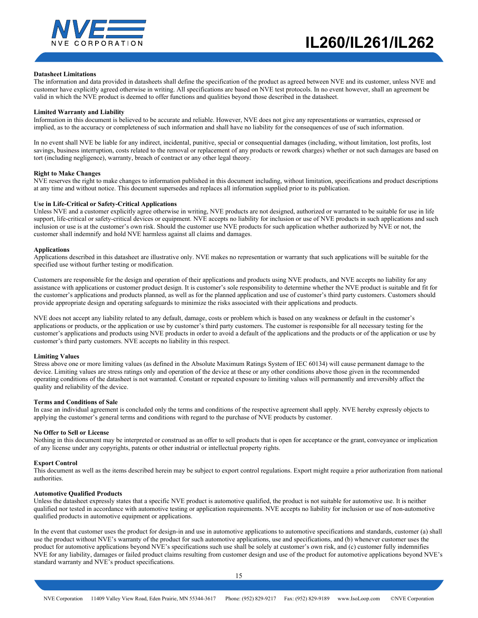

#### **Datasheet Limitations**

The information and data provided in datasheets shall define the specification of the product as agreed between NVE and its customer, unless NVE and customer have explicitly agreed otherwise in writing. All specifications are based on NVE test protocols. In no event however, shall an agreement be valid in which the NVE product is deemed to offer functions and qualities beyond those described in the datasheet.

#### **Limited Warranty and Liability**

Information in this document is believed to be accurate and reliable. However, NVE does not give any representations or warranties, expressed or implied, as to the accuracy or completeness of such information and shall have no liability for the consequences of use of such information.

In no event shall NVE be liable for any indirect, incidental, punitive, special or consequential damages (including, without limitation, lost profits, lost savings, business interruption, costs related to the removal or replacement of any products or rework charges) whether or not such damages are based on tort (including negligence), warranty, breach of contract or any other legal theory.

#### **Right to Make Changes**

NVE reserves the right to make changes to information published in this document including, without limitation, specifications and product descriptions at any time and without notice. This document supersedes and replaces all information supplied prior to its publication.

#### **Use in Life-Critical or Safety-Critical Applications**

Unless NVE and a customer explicitly agree otherwise in writing, NVE products are not designed, authorized or warranted to be suitable for use in life support, life-critical or safety-critical devices or equipment. NVE accepts no liability for inclusion or use of NVE products in such applications and such inclusion or use is at the customer's own risk. Should the customer use NVE products for such application whether authorized by NVE or not, the customer shall indemnify and hold NVE harmless against all claims and damages.

#### **Applications**

Applications described in this datasheet are illustrative only. NVE makes no representation or warranty that such applications will be suitable for the specified use without further testing or modification.

Customers are responsible for the design and operation of their applications and products using NVE products, and NVE accepts no liability for any assistance with applications or customer product design. It is customer's sole responsibility to determine whether the NVE product is suitable and fit for the customer's applications and products planned, as well as for the planned application and use of customer's third party customers. Customers should provide appropriate design and operating safeguards to minimize the risks associated with their applications and products.

NVE does not accept any liability related to any default, damage, costs or problem which is based on any weakness or default in the customer's applications or products, or the application or use by customer's third party customers. The customer is responsible for all necessary testing for the customer's applications and products using NVE products in order to avoid a default of the applications and the products or of the application or use by customer's third party customers. NVE accepts no liability in this respect.

#### **Limiting Values**

Stress above one or more limiting values (as defined in the Absolute Maximum Ratings System of IEC 60134) will cause permanent damage to the device. Limiting values are stress ratings only and operation of the device at these or any other conditions above those given in the recommended operating conditions of the datasheet is not warranted. Constant or repeated exposure to limiting values will permanently and irreversibly affect the quality and reliability of the device.

#### **Terms and Conditions of Sale**

In case an individual agreement is concluded only the terms and conditions of the respective agreement shall apply. NVE hereby expressly objects to applying the customer's general terms and conditions with regard to the purchase of NVE products by customer.

#### **No Offer to Sell or License**

Nothing in this document may be interpreted or construed as an offer to sell products that is open for acceptance or the grant, conveyance or implication of any license under any copyrights, patents or other industrial or intellectual property rights.

#### **Export Control**

This document as well as the items described herein may be subject to export control regulations. Export might require a prior authorization from national authorities.

#### **Automotive Qualified Products**

Unless the datasheet expressly states that a specific NVE product is automotive qualified, the product is not suitable for automotive use. It is neither qualified nor tested in accordance with automotive testing or application requirements. NVE accepts no liability for inclusion or use of non-automotive qualified products in automotive equipment or applications.

In the event that customer uses the product for design-in and use in automotive applications to automotive specifications and standards, customer (a) shall use the product without NVE's warranty of the product for such automotive applications, use and specifications, and (b) whenever customer uses the product for automotive applications beyond NVE's specifications such use shall be solely at customer's own risk, and (c) customer fully indemnifies NVE for any liability, damages or failed product claims resulting from customer design and use of the product for automotive applications beyond NVE's standard warranty and NVE's product specifications.